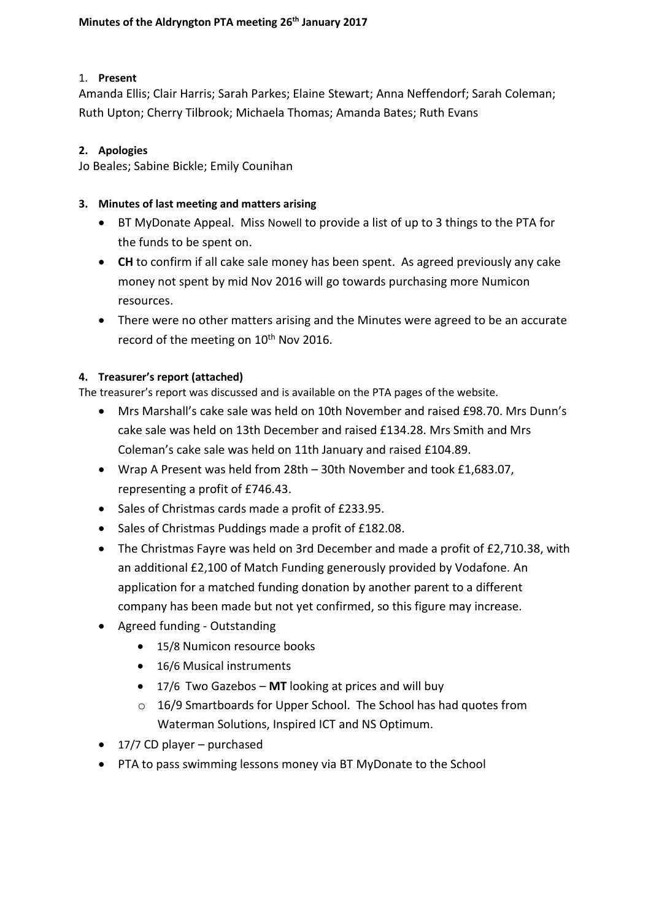#### 1. **Present**

Amanda Ellis; Clair Harris; Sarah Parkes; Elaine Stewart; Anna Neffendorf; Sarah Coleman; Ruth Upton; Cherry Tilbrook; Michaela Thomas; Amanda Bates; Ruth Evans

#### **2. Apologies**

Jo Beales; Sabine Bickle; Emily Counihan

#### **3. Minutes of last meeting and matters arising**

- BT MyDonate Appeal. Miss Nowell to provide a list of up to 3 things to the PTA for the funds to be spent on.
- **CH** to confirm if all cake sale money has been spent. As agreed previously any cake money not spent by mid Nov 2016 will go towards purchasing more Numicon resources.
- There were no other matters arising and the Minutes were agreed to be an accurate record of the meeting on 10<sup>th</sup> Nov 2016.

### **4. Treasurer's report (attached)**

The treasurer's report was discussed and is available on the PTA pages of the website.

- Mrs Marshall's cake sale was held on 10th November and raised £98.70. Mrs Dunn's cake sale was held on 13th December and raised £134.28. Mrs Smith and Mrs Coleman's cake sale was held on 11th January and raised £104.89.
- Wrap A Present was held from 28th 30th November and took £1,683.07, representing a profit of £746.43.
- Sales of Christmas cards made a profit of £233.95.
- Sales of Christmas Puddings made a profit of £182.08.
- The Christmas Fayre was held on 3rd December and made a profit of £2,710.38, with an additional £2,100 of Match Funding generously provided by Vodafone. An application for a matched funding donation by another parent to a different company has been made but not yet confirmed, so this figure may increase.
- Agreed funding Outstanding
	- 15/8 Numicon resource books
	- 16/6 Musical instruments
	- 17/6 Two Gazebos **MT** looking at prices and will buy
	- o 16/9 Smartboards for Upper School. The School has had quotes from Waterman Solutions, Inspired ICT and NS Optimum.
- $\bullet$  17/7 CD player purchased
- PTA to pass swimming lessons money via BT MyDonate to the School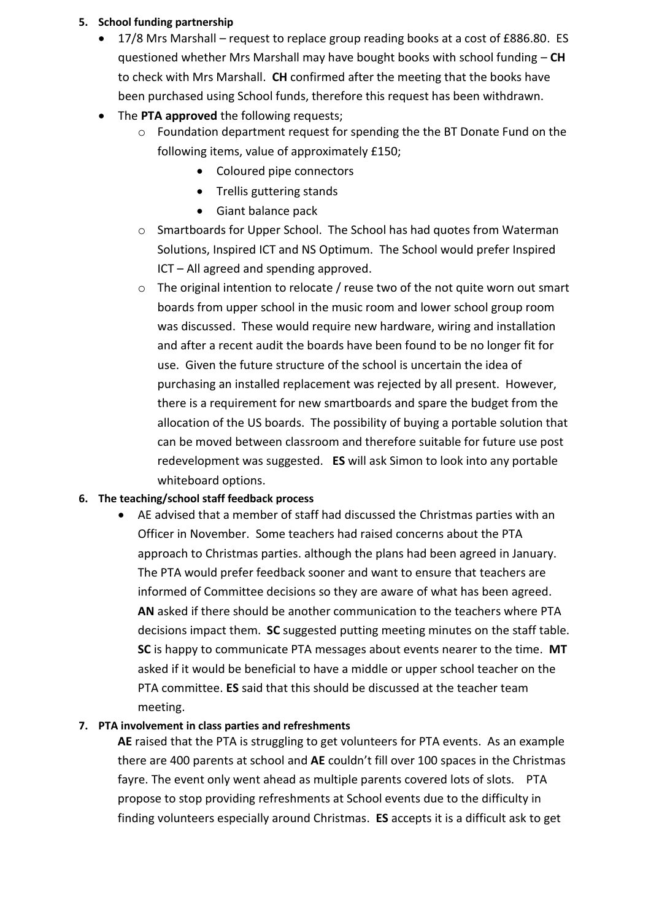#### **5. School funding partnership**

- 17/8 Mrs Marshall request to replace group reading books at a cost of £886.80. ES questioned whether Mrs Marshall may have bought books with school funding – **CH** to check with Mrs Marshall. **CH** confirmed after the meeting that the books have been purchased using School funds, therefore this request has been withdrawn.
- The **PTA approved** the following requests:
	- o Foundation department request for spending the the BT Donate Fund on the following items, value of approximately £150;
		- Coloured pipe connectors
		- Trellis guttering stands
		- Giant balance pack
	- o Smartboards for Upper School. The School has had quotes from Waterman Solutions, Inspired ICT and NS Optimum. The School would prefer Inspired ICT – All agreed and spending approved.
	- o The original intention to relocate / reuse two of the not quite worn out smart boards from upper school in the music room and lower school group room was discussed. These would require new hardware, wiring and installation and after a recent audit the boards have been found to be no longer fit for use. Given the future structure of the school is uncertain the idea of purchasing an installed replacement was rejected by all present. However, there is a requirement for new smartboards and spare the budget from the allocation of the US boards. The possibility of buying a portable solution that can be moved between classroom and therefore suitable for future use post redevelopment was suggested. **ES** will ask Simon to look into any portable whiteboard options.

### **6. The teaching/school staff feedback process**

 AE advised that a member of staff had discussed the Christmas parties with an Officer in November. Some teachers had raised concerns about the PTA approach to Christmas parties. although the plans had been agreed in January. The PTA would prefer feedback sooner and want to ensure that teachers are informed of Committee decisions so they are aware of what has been agreed. **AN** asked if there should be another communication to the teachers where PTA decisions impact them. **SC** suggested putting meeting minutes on the staff table. **SC** is happy to communicate PTA messages about events nearer to the time. **MT** asked if it would be beneficial to have a middle or upper school teacher on the PTA committee. **ES** said that this should be discussed at the teacher team meeting.

### **7. PTA involvement in class parties and refreshments**

**AE** raised that the PTA is struggling to get volunteers for PTA events. As an example there are 400 parents at school and **AE** couldn't fill over 100 spaces in the Christmas fayre. The event only went ahead as multiple parents covered lots of slots. PTA propose to stop providing refreshments at School events due to the difficulty in finding volunteers especially around Christmas. **ES** accepts it is a difficult ask to get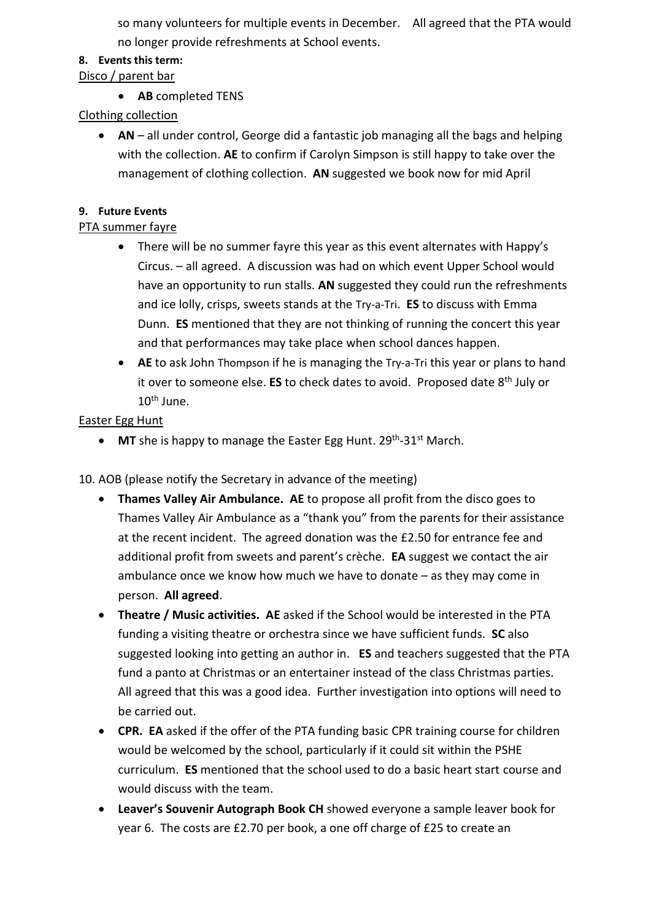so many volunteers for multiple events in December. All agreed that the PTA would no longer provide refreshments at School events.

### **8. Events this term:**

### Disco / parent bar

**AB** completed TENS

# Clothing collection

 **AN** – all under control, George did a fantastic job managing all the bags and helping with the collection. **AE** to confirm if Carolyn Simpson is still happy to take over the management of clothing collection. **AN** suggested we book now for mid April

# **9. Future Events**

# PTA summer fayre

- There will be no summer fayre this year as this event alternates with Happy's Circus. – all agreed. A discussion was had on which event Upper School would have an opportunity to run stalls. **AN** suggested they could run the refreshments and ice lolly, crisps, sweets stands at the Try-a-Tri. **ES** to discuss with Emma Dunn. **ES** mentioned that they are not thinking of running the concert this year and that performances may take place when school dances happen.
- **AE** to ask John Thompson if he is managing the Try-a-Tri this year or plans to hand it over to someone else. **ES** to check dates to avoid. Proposed date 8th July or  $10^{th}$  June.

### Easter Egg Hunt

• MT she is happy to manage the Easter Egg Hunt. 29<sup>th</sup>-31<sup>st</sup> March.

10. AOB (please notify the Secretary in advance of the meeting)

- **Thames Valley Air Ambulance. AE** to propose all profit from the disco goes to Thames Valley Air Ambulance as a "thank you" from the parents for their assistance at the recent incident. The agreed donation was the £2.50 for entrance fee and additional profit from sweets and parent's crèche. **EA** suggest we contact the air ambulance once we know how much we have to donate – as they may come in person. **All agreed**.
- **Theatre / Music activities. AE** asked if the School would be interested in the PTA funding a visiting theatre or orchestra since we have sufficient funds. **SC** also suggested looking into getting an author in. **ES** and teachers suggested that the PTA fund a panto at Christmas or an entertainer instead of the class Christmas parties. All agreed that this was a good idea. Further investigation into options will need to be carried out.
- **CPR. EA** asked if the offer of the PTA funding basic CPR training course for children would be welcomed by the school, particularly if it could sit within the PSHE curriculum. **ES** mentioned that the school used to do a basic heart start course and would discuss with the team.
- **Leaver's Souvenir Autograph Book CH** showed everyone a sample leaver book for year 6. The costs are £2.70 per book, a one off charge of £25 to create an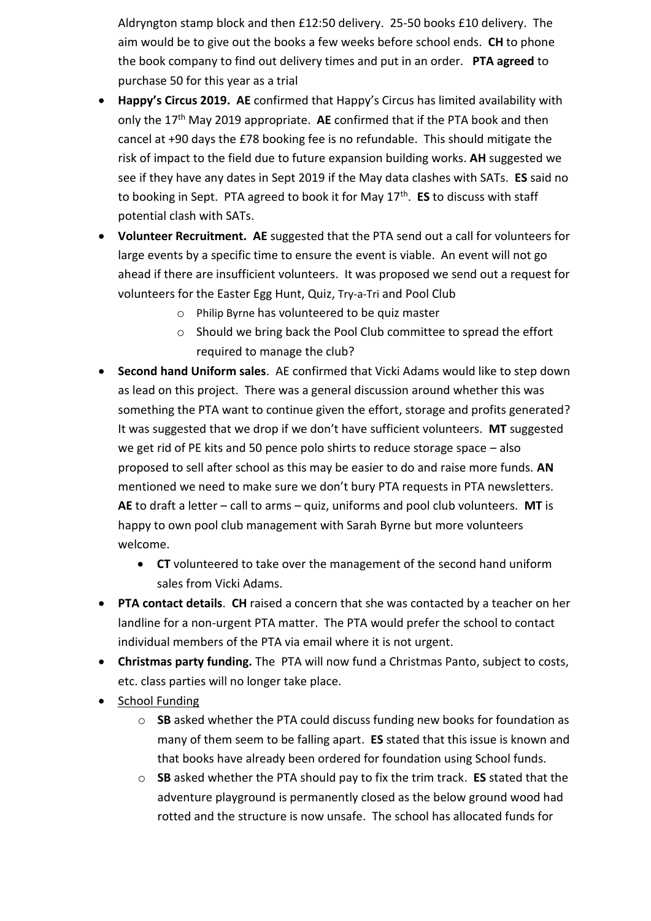Aldryngton stamp block and then £12:50 delivery. 25-50 books £10 delivery. The aim would be to give out the books a few weeks before school ends. **CH** to phone the book company to find out delivery times and put in an order. **PTA agreed** to purchase 50 for this year as a trial

- **Happy's Circus 2019. AE** confirmed that Happy's Circus has limited availability with only the 17th May 2019 appropriate. **AE** confirmed that if the PTA book and then cancel at +90 days the £78 booking fee is no refundable. This should mitigate the risk of impact to the field due to future expansion building works. **AH** suggested we see if they have any dates in Sept 2019 if the May data clashes with SATs. **ES** said no to booking in Sept. PTA agreed to book it for May 17th . **ES** to discuss with staff potential clash with SATs.
- **Volunteer Recruitment. AE** suggested that the PTA send out a call for volunteers for large events by a specific time to ensure the event is viable. An event will not go ahead if there are insufficient volunteers. It was proposed we send out a request for volunteers for the Easter Egg Hunt, Quiz, Try-a-Tri and Pool Club
	- o Philip Byrne has volunteered to be quiz master
	- o Should we bring back the Pool Club committee to spread the effort required to manage the club?
- **Second hand Uniform sales**. AE confirmed that Vicki Adams would like to step down as lead on this project. There was a general discussion around whether this was something the PTA want to continue given the effort, storage and profits generated? It was suggested that we drop if we don't have sufficient volunteers. **MT** suggested we get rid of PE kits and 50 pence polo shirts to reduce storage space – also proposed to sell after school as this may be easier to do and raise more funds. **AN** mentioned we need to make sure we don't bury PTA requests in PTA newsletters. **AE** to draft a letter – call to arms – quiz, uniforms and pool club volunteers. **MT** is happy to own pool club management with Sarah Byrne but more volunteers welcome.
	- **CT** volunteered to take over the management of the second hand uniform sales from Vicki Adams.
- **PTA contact details**. **CH** raised a concern that she was contacted by a teacher on her landline for a non-urgent PTA matter. The PTA would prefer the school to contact individual members of the PTA via email where it is not urgent.
- **Christmas party funding.** The PTA will now fund a Christmas Panto, subject to costs, etc. class parties will no longer take place.
- School Funding
	- o **SB** asked whether the PTA could discuss funding new books for foundation as many of them seem to be falling apart. **ES** stated that this issue is known and that books have already been ordered for foundation using School funds.
	- o **SB** asked whether the PTA should pay to fix the trim track. **ES** stated that the adventure playground is permanently closed as the below ground wood had rotted and the structure is now unsafe. The school has allocated funds for